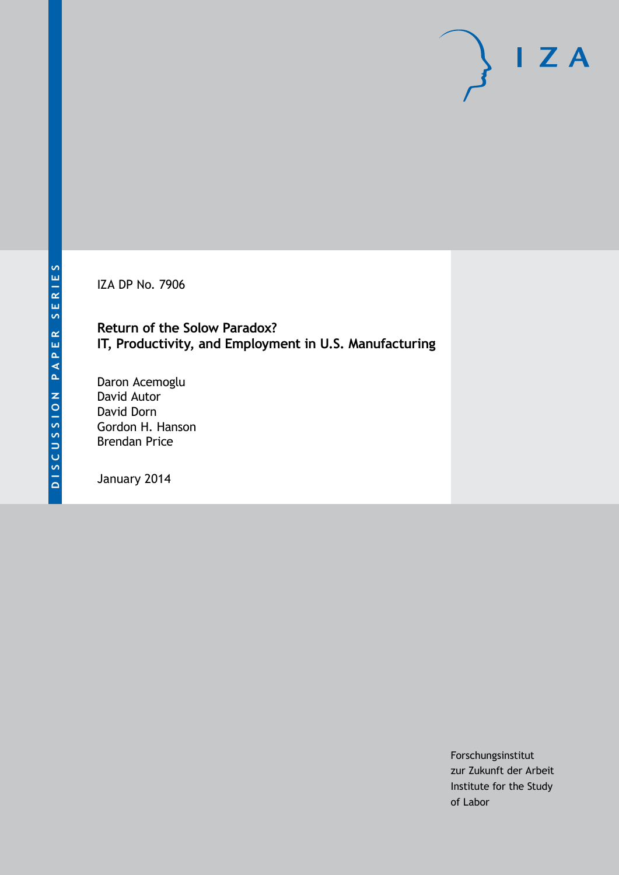IZA DP No. 7906

**Return of the Solow Paradox? IT, Productivity, and Employment in U.S. Manufacturing**

Daron Acemoglu David Autor David Dorn Gordon H. Hanson Brendan Price

January 2014

Forschungsinstitut zur Zukunft der Arbeit Institute for the Study of Labor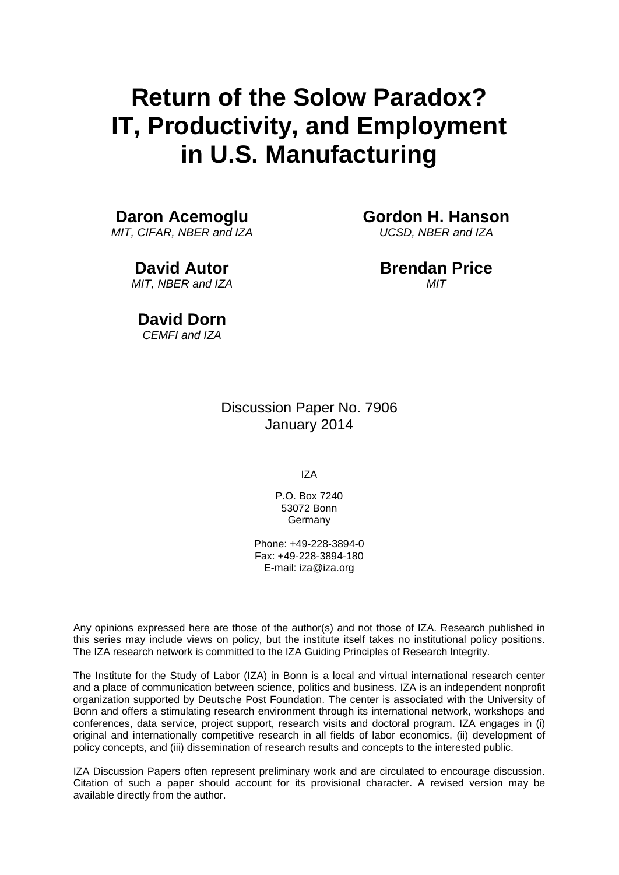# **Return of the Solow Paradox? IT, Productivity, and Employment in U.S. Manufacturing**

## **Daron Acemoglu**

*MIT, CIFAR, NBER and IZA*

# **David Autor**

*MIT, NBER and IZA*

## **Gordon H. Hanson**

*UCSD, NBER and IZA*

#### **Brendan Price** *MIT*

**David Dorn** *CEMFI and IZA*

> Discussion Paper No. 7906 January 2014

> > IZA

P.O. Box 7240 53072 Bonn Germany

Phone: +49-228-3894-0 Fax: +49-228-3894-180 E-mail: [iza@iza.org](mailto:iza@iza.org)

Any opinions expressed here are those of the author(s) and not those of IZA. Research published in this series may include views on policy, but the institute itself takes no institutional policy positions. The IZA research network is committed to the IZA Guiding Principles of Research Integrity.

The Institute for the Study of Labor (IZA) in Bonn is a local and virtual international research center and a place of communication between science, politics and business. IZA is an independent nonprofit organization supported by Deutsche Post Foundation. The center is associated with the University of Bonn and offers a stimulating research environment through its international network, workshops and conferences, data service, project support, research visits and doctoral program. IZA engages in (i) original and internationally competitive research in all fields of labor economics, (ii) development of policy concepts, and (iii) dissemination of research results and concepts to the interested public.

<span id="page-1-0"></span>IZA Discussion Papers often represent preliminary work and are circulated to encourage discussion. Citation of such a paper should account for its provisional character. A revised version may be available directly from the author.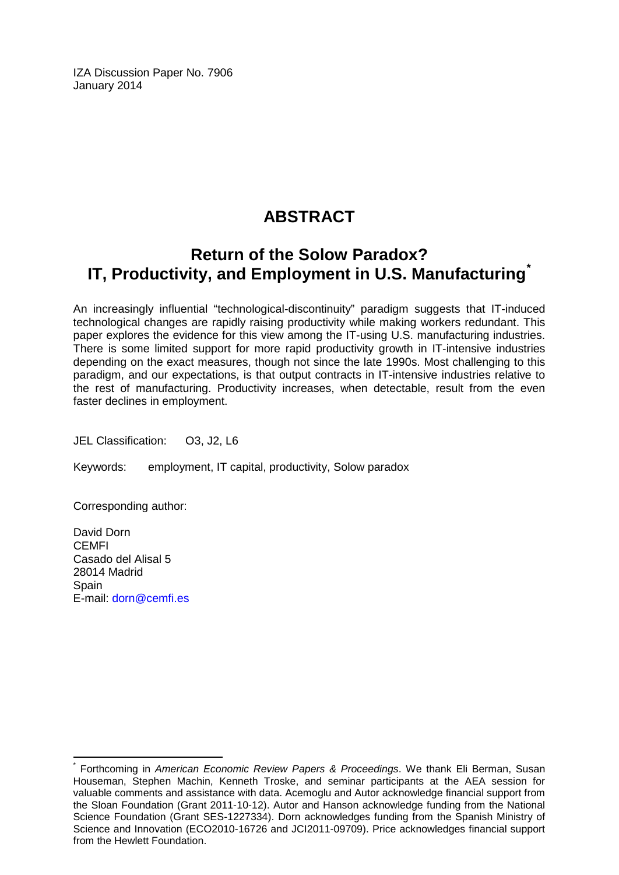IZA Discussion Paper No. 7906 January 2014

# **ABSTRACT**

# **Return of the Solow Paradox? IT, Productivity, and Employment in U.S. Manufacturing[\\*](#page-1-0)**

An increasingly influential "technological-discontinuity" paradigm suggests that IT-induced technological changes are rapidly raising productivity while making workers redundant. This paper explores the evidence for this view among the IT-using U.S. manufacturing industries. There is some limited support for more rapid productivity growth in IT-intensive industries depending on the exact measures, though not since the late 1990s. Most challenging to this paradigm, and our expectations, is that output contracts in IT-intensive industries relative to the rest of manufacturing. Productivity increases, when detectable, result from the even faster declines in employment.

JEL Classification: O3, J2, L6

Keywords: employment, IT capital, productivity, Solow paradox

Corresponding author:

David Dorn CEMFI Casado del Alisal 5 28014 Madrid Spain E-mail: [dorn@cemfi.es](mailto:dorn@cemfi.es)

\* Forthcoming in *American Economic Review Papers & Proceedings*. We thank Eli Berman, Susan Houseman, Stephen Machin, Kenneth Troske, and seminar participants at the AEA session for valuable comments and assistance with data. Acemoglu and Autor acknowledge financial support from the Sloan Foundation (Grant 2011-10-12). Autor and Hanson acknowledge funding from the National Science Foundation (Grant SES-1227334). Dorn acknowledges funding from the Spanish Ministry of Science and Innovation (ECO2010-16726 and JCI2011-09709). Price acknowledges financial support from the Hewlett Foundation.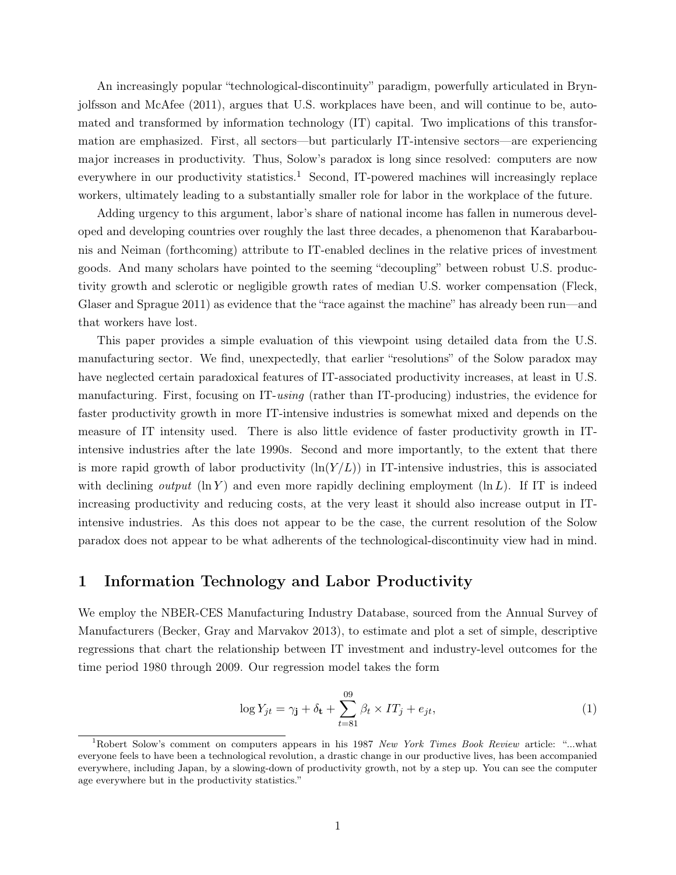An increasingly popular "technological-discontinuity" paradigm, powerfully articulated in Brynjolfsson and McAfee (2011), argues that U.S. workplaces have been, and will continue to be, automated and transformed by information technology (IT) capital. Two implications of this transformation are emphasized. First, all sectors—but particularly IT-intensive sectors—are experiencing major increases in productivity. Thus, Solow's paradox is long since resolved: computers are now everywhere in our productivity statistics.<sup>1</sup> Second, IT-powered machines will increasingly replace workers, ultimately leading to a substantially smaller role for labor in the workplace of the future.

Adding urgency to this argument, labor's share of national income has fallen in numerous developed and developing countries over roughly the last three decades, a phenomenon that Karabarbounis and Neiman (forthcoming) attribute to IT-enabled declines in the relative prices of investment goods. And many scholars have pointed to the seeming "decoupling" between robust U.S. productivity growth and sclerotic or negligible growth rates of median U.S. worker compensation (Fleck, Glaser and Sprague 2011) as evidence that the "race against the machine" has already been run—and that workers have lost.

This paper provides a simple evaluation of this viewpoint using detailed data from the U.S. manufacturing sector. We find, unexpectedly, that earlier "resolutions" of the Solow paradox may have neglected certain paradoxical features of IT-associated productivity increases, at least in U.S. manufacturing. First, focusing on IT-using (rather than IT-producing) industries, the evidence for faster productivity growth in more IT-intensive industries is somewhat mixed and depends on the measure of IT intensity used. There is also little evidence of faster productivity growth in ITintensive industries after the late 1990s. Second and more importantly, to the extent that there is more rapid growth of labor productivity  $(\ln(Y/L))$  in IT-intensive industries, this is associated with declining *output*  $(\ln Y)$  and even more rapidly declining employment  $(\ln L)$ . If IT is indeed increasing productivity and reducing costs, at the very least it should also increase output in ITintensive industries. As this does not appear to be the case, the current resolution of the Solow paradox does not appear to be what adherents of the technological-discontinuity view had in mind.

#### 1 Information Technology and Labor Productivity

We employ the NBER-CES Manufacturing Industry Database, sourced from the Annual Survey of Manufacturers (Becker, Gray and Marvakov 2013), to estimate and plot a set of simple, descriptive regressions that chart the relationship between IT investment and industry-level outcomes for the time period 1980 through 2009. Our regression model takes the form

$$
\log Y_{jt} = \gamma_{\mathbf{j}} + \delta_{\mathbf{t}} + \sum_{t=81}^{09} \beta_t \times IT_j + e_{jt},\tag{1}
$$

<sup>&</sup>lt;sup>1</sup>Robert Solow's comment on computers appears in his 1987 New York Times Book Review article: "...what everyone feels to have been a technological revolution, a drastic change in our productive lives, has been accompanied everywhere, including Japan, by a slowing-down of productivity growth, not by a step up. You can see the computer age everywhere but in the productivity statistics."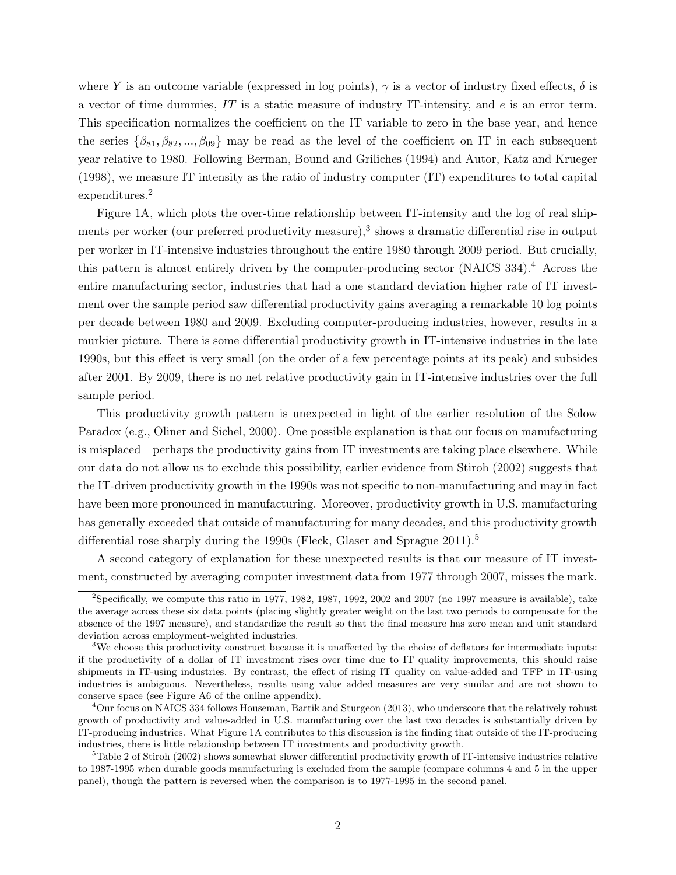where Y is an outcome variable (expressed in log points),  $\gamma$  is a vector of industry fixed effects,  $\delta$  is a vector of time dummies,  $IT$  is a static measure of industry IT-intensity, and  $e$  is an error term. This specification normalizes the coefficient on the IT variable to zero in the base year, and hence the series  $\{\beta_{81}, \beta_{82}, ..., \beta_{09}\}$  may be read as the level of the coefficient on IT in each subsequent year relative to 1980. Following Berman, Bound and Griliches (1994) and Autor, Katz and Krueger (1998), we measure IT intensity as the ratio of industry computer (IT) expenditures to total capital expenditures.<sup>2</sup>

Figure 1A, which plots the over-time relationship between IT-intensity and the log of real shipments per worker (our preferred productivity measure),<sup>3</sup> shows a dramatic differential rise in output per worker in IT-intensive industries throughout the entire 1980 through 2009 period. But crucially, this pattern is almost entirely driven by the computer-producing sector (NAICS 334).<sup>4</sup> Across the entire manufacturing sector, industries that had a one standard deviation higher rate of IT investment over the sample period saw differential productivity gains averaging a remarkable 10 log points per decade between 1980 and 2009. Excluding computer-producing industries, however, results in a murkier picture. There is some differential productivity growth in IT-intensive industries in the late 1990s, but this effect is very small (on the order of a few percentage points at its peak) and subsides after 2001. By 2009, there is no net relative productivity gain in IT-intensive industries over the full sample period.

This productivity growth pattern is unexpected in light of the earlier resolution of the Solow Paradox (e.g., Oliner and Sichel, 2000). One possible explanation is that our focus on manufacturing is misplaced—perhaps the productivity gains from IT investments are taking place elsewhere. While our data do not allow us to exclude this possibility, earlier evidence from Stiroh (2002) suggests that the IT-driven productivity growth in the 1990s was not specific to non-manufacturing and may in fact have been more pronounced in manufacturing. Moreover, productivity growth in U.S. manufacturing has generally exceeded that outside of manufacturing for many decades, and this productivity growth differential rose sharply during the 1990s (Fleck, Glaser and Sprague  $2011$ ).<sup>5</sup>

A second category of explanation for these unexpected results is that our measure of IT investment, constructed by averaging computer investment data from 1977 through 2007, misses the mark.

<sup>&</sup>lt;sup>2</sup>Specifically, we compute this ratio in 1977, 1982, 1987, 1992, 2002 and 2007 (no 1997 measure is available), take the average across these six data points (placing slightly greater weight on the last two periods to compensate for the absence of the 1997 measure), and standardize the result so that the final measure has zero mean and unit standard deviation across employment-weighted industries.

<sup>&</sup>lt;sup>3</sup>We choose this productivity construct because it is unaffected by the choice of deflators for intermediate inputs: if the productivity of a dollar of IT investment rises over time due to IT quality improvements, this should raise shipments in IT-using industries. By contrast, the effect of rising IT quality on value-added and TFP in IT-using industries is ambiguous. Nevertheless, results using value added measures are very similar and are not shown to conserve space (see Figure A6 of the online appendix).

<sup>4</sup>Our focus on NAICS 334 follows Houseman, Bartik and Sturgeon (2013), who underscore that the relatively robust growth of productivity and value-added in U.S. manufacturing over the last two decades is substantially driven by IT-producing industries. What Figure 1A contributes to this discussion is the finding that outside of the IT-producing industries, there is little relationship between IT investments and productivity growth.

 $5$ Table 2 of Stiroh (2002) shows somewhat slower differential productivity growth of IT-intensive industries relative to 1987-1995 when durable goods manufacturing is excluded from the sample (compare columns 4 and 5 in the upper panel), though the pattern is reversed when the comparison is to 1977-1995 in the second panel.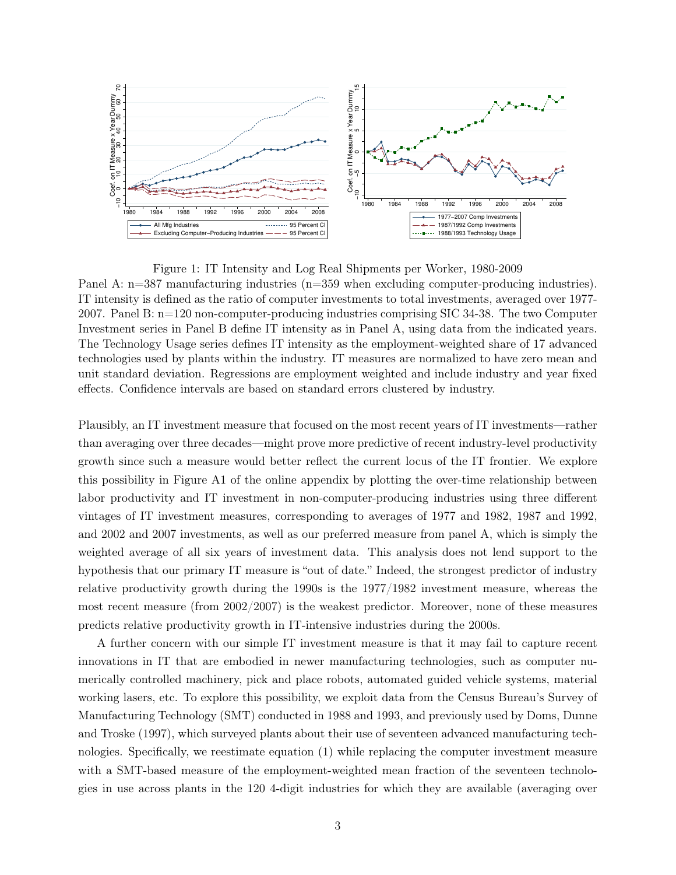

Figure 1: IT Intensity and Log Real Shipments per Worker, 1980-2009 Panel A: n=387 manufacturing industries (n=359 when excluding computer-producing industries). IT intensity is defined as the ratio of computer investments to total investments, averaged over 1977- 2007. Panel B: n=120 non-computer-producing industries comprising SIC 34-38. The two Computer Investment series in Panel B define IT intensity as in Panel A, using data from the indicated years. The Technology Usage series defines IT intensity as the employment-weighted share of 17 advanced technologies used by plants within the industry. IT measures are normalized to have zero mean and unit standard deviation. Regressions are employment weighted and include industry and year fixed effects. Confidence intervals are based on standard errors clustered by industry.

Plausibly, an IT investment measure that focused on the most recent years of IT investments—rather than averaging over three decades—might prove more predictive of recent industry-level productivity growth since such a measure would better reflect the current locus of the IT frontier. We explore this possibility in Figure A1 of the online appendix by plotting the over-time relationship between labor productivity and IT investment in non-computer-producing industries using three different vintages of IT investment measures, corresponding to averages of 1977 and 1982, 1987 and 1992, and 2002 and 2007 investments, as well as our preferred measure from panel A, which is simply the weighted average of all six years of investment data. This analysis does not lend support to the hypothesis that our primary IT measure is "out of date." Indeed, the strongest predictor of industry relative productivity growth during the 1990s is the 1977/1982 investment measure, whereas the most recent measure (from 2002/2007) is the weakest predictor. Moreover, none of these measures predicts relative productivity growth in IT-intensive industries during the 2000s.

A further concern with our simple IT investment measure is that it may fail to capture recent innovations in IT that are embodied in newer manufacturing technologies, such as computer numerically controlled machinery, pick and place robots, automated guided vehicle systems, material working lasers, etc. To explore this possibility, we exploit data from the Census Bureau's Survey of Manufacturing Technology (SMT) conducted in 1988 and 1993, and previously used by Doms, Dunne and Troske (1997), which surveyed plants about their use of seventeen advanced manufacturing technologies. Specifically, we reestimate equation (1) while replacing the computer investment measure with a SMT-based measure of the employment-weighted mean fraction of the seventeen technologies in use across plants in the 120 4-digit industries for which they are available (averaging over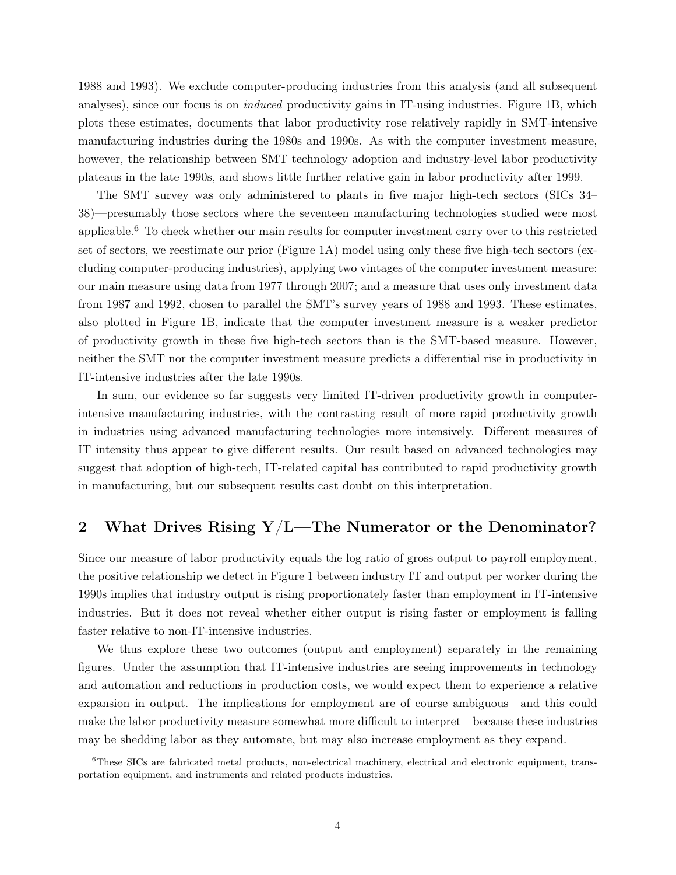1988 and 1993). We exclude computer-producing industries from this analysis (and all subsequent analyses), since our focus is on *induced* productivity gains in IT-using industries. Figure 1B, which plots these estimates, documents that labor productivity rose relatively rapidly in SMT-intensive manufacturing industries during the 1980s and 1990s. As with the computer investment measure, however, the relationship between SMT technology adoption and industry-level labor productivity plateaus in the late 1990s, and shows little further relative gain in labor productivity after 1999.

The SMT survey was only administered to plants in five major high-tech sectors (SICs 34– 38)—presumably those sectors where the seventeen manufacturing technologies studied were most applicable.<sup>6</sup> To check whether our main results for computer investment carry over to this restricted set of sectors, we reestimate our prior (Figure 1A) model using only these five high-tech sectors (excluding computer-producing industries), applying two vintages of the computer investment measure: our main measure using data from 1977 through 2007; and a measure that uses only investment data from 1987 and 1992, chosen to parallel the SMT's survey years of 1988 and 1993. These estimates, also plotted in Figure 1B, indicate that the computer investment measure is a weaker predictor of productivity growth in these five high-tech sectors than is the SMT-based measure. However, neither the SMT nor the computer investment measure predicts a differential rise in productivity in IT-intensive industries after the late 1990s.

In sum, our evidence so far suggests very limited IT-driven productivity growth in computerintensive manufacturing industries, with the contrasting result of more rapid productivity growth in industries using advanced manufacturing technologies more intensively. Different measures of IT intensity thus appear to give different results. Our result based on advanced technologies may suggest that adoption of high-tech, IT-related capital has contributed to rapid productivity growth in manufacturing, but our subsequent results cast doubt on this interpretation.

## 2 What Drives Rising Y/L—The Numerator or the Denominator?

Since our measure of labor productivity equals the log ratio of gross output to payroll employment, the positive relationship we detect in Figure 1 between industry IT and output per worker during the 1990s implies that industry output is rising proportionately faster than employment in IT-intensive industries. But it does not reveal whether either output is rising faster or employment is falling faster relative to non-IT-intensive industries.

We thus explore these two outcomes (output and employment) separately in the remaining figures. Under the assumption that IT-intensive industries are seeing improvements in technology and automation and reductions in production costs, we would expect them to experience a relative expansion in output. The implications for employment are of course ambiguous—and this could make the labor productivity measure somewhat more difficult to interpret—because these industries may be shedding labor as they automate, but may also increase employment as they expand.

<sup>&</sup>lt;sup>6</sup>These SICs are fabricated metal products, non-electrical machinery, electrical and electronic equipment, transportation equipment, and instruments and related products industries.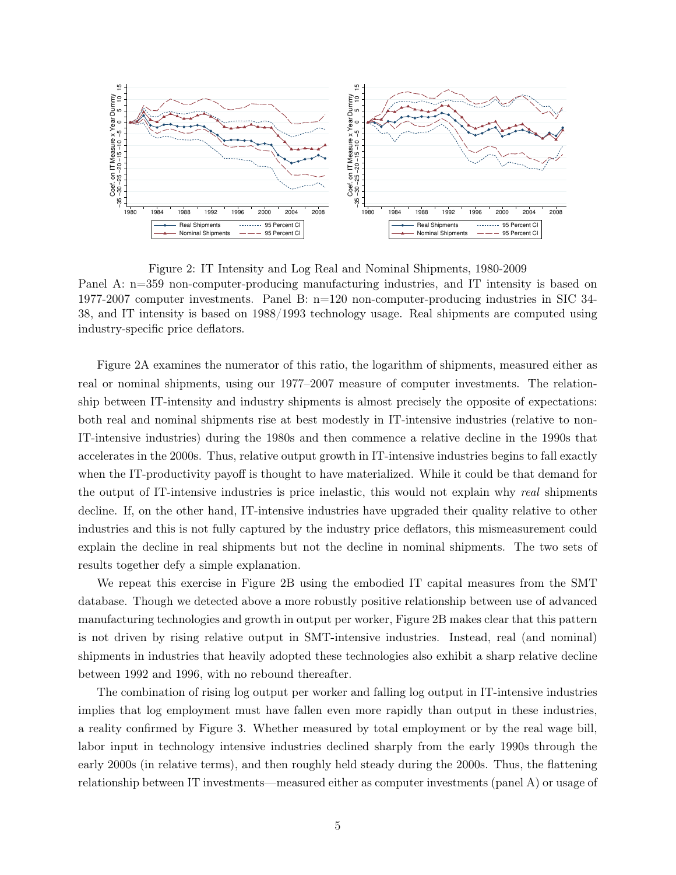

Figure 2: IT Intensity and Log Real and Nominal Shipments, 1980-2009 Panel A: n=359 non-computer-producing manufacturing industries, and IT intensity is based on 1977-2007 computer investments. Panel B: n=120 non-computer-producing industries in SIC 34- 38, and IT intensity is based on 1988/1993 technology usage. Real shipments are computed using industry-specific price deflators.

Figure 2A examines the numerator of this ratio, the logarithm of shipments, measured either as real or nominal shipments, using our 1977–2007 measure of computer investments. The relationship between IT-intensity and industry shipments is almost precisely the opposite of expectations: both real and nominal shipments rise at best modestly in IT-intensive industries (relative to non-IT-intensive industries) during the 1980s and then commence a relative decline in the 1990s that accelerates in the 2000s. Thus, relative output growth in IT-intensive industries begins to fall exactly when the IT-productivity payoff is thought to have materialized. While it could be that demand for the output of IT-intensive industries is price inelastic, this would not explain why real shipments decline. If, on the other hand, IT-intensive industries have upgraded their quality relative to other industries and this is not fully captured by the industry price deflators, this mismeasurement could explain the decline in real shipments but not the decline in nominal shipments. The two sets of results together defy a simple explanation.

We repeat this exercise in Figure 2B using the embodied IT capital measures from the SMT database. Though we detected above a more robustly positive relationship between use of advanced manufacturing technologies and growth in output per worker, Figure 2B makes clear that this pattern is not driven by rising relative output in SMT-intensive industries. Instead, real (and nominal) shipments in industries that heavily adopted these technologies also exhibit a sharp relative decline between 1992 and 1996, with no rebound thereafter.

The combination of rising log output per worker and falling log output in IT-intensive industries implies that log employment must have fallen even more rapidly than output in these industries, a reality confirmed by Figure 3. Whether measured by total employment or by the real wage bill, labor input in technology intensive industries declined sharply from the early 1990s through the early 2000s (in relative terms), and then roughly held steady during the 2000s. Thus, the flattening relationship between IT investments—measured either as computer investments (panel A) or usage of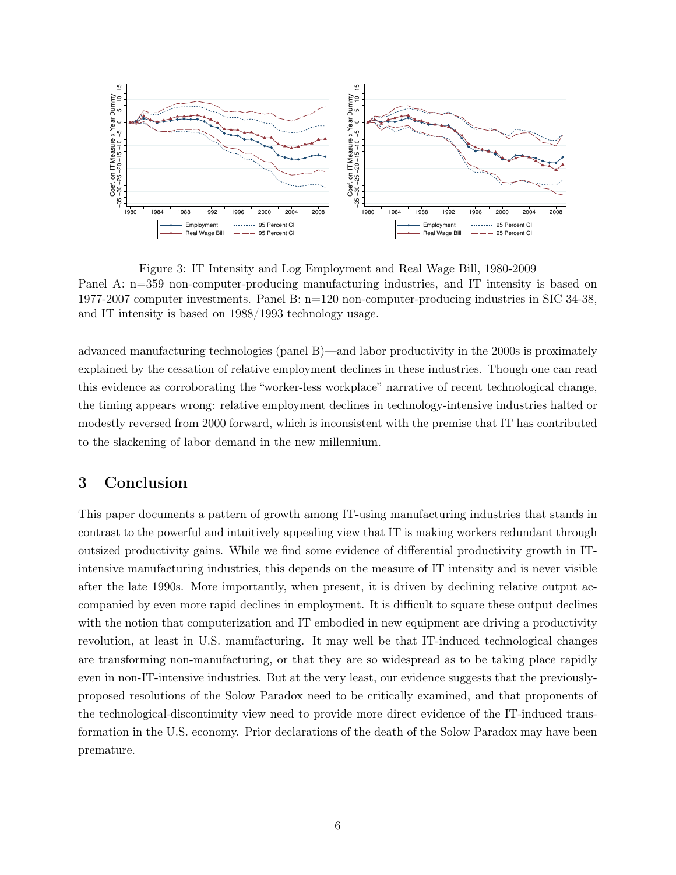

Figure 3: IT Intensity and Log Employment and Real Wage Bill, 1980-2009 Panel A: n=359 non-computer-producing manufacturing industries, and IT intensity is based on 1977-2007 computer investments. Panel B: n=120 non-computer-producing industries in SIC 34-38, and IT intensity is based on 1988/1993 technology usage.

advanced manufacturing technologies (panel B)—and labor productivity in the 2000s is proximately explained by the cessation of relative employment declines in these industries. Though one can read this evidence as corroborating the "worker-less workplace" narrative of recent technological change, the timing appears wrong: relative employment declines in technology-intensive industries halted or modestly reversed from 2000 forward, which is inconsistent with the premise that IT has contributed to the slackening of labor demand in the new millennium.

### 3 Conclusion

This paper documents a pattern of growth among IT-using manufacturing industries that stands in contrast to the powerful and intuitively appealing view that IT is making workers redundant through outsized productivity gains. While we find some evidence of differential productivity growth in ITintensive manufacturing industries, this depends on the measure of IT intensity and is never visible after the late 1990s. More importantly, when present, it is driven by declining relative output accompanied by even more rapid declines in employment. It is difficult to square these output declines with the notion that computerization and IT embodied in new equipment are driving a productivity revolution, at least in U.S. manufacturing. It may well be that IT-induced technological changes are transforming non-manufacturing, or that they are so widespread as to be taking place rapidly even in non-IT-intensive industries. But at the very least, our evidence suggests that the previouslyproposed resolutions of the Solow Paradox need to be critically examined, and that proponents of the technological-discontinuity view need to provide more direct evidence of the IT-induced transformation in the U.S. economy. Prior declarations of the death of the Solow Paradox may have been premature.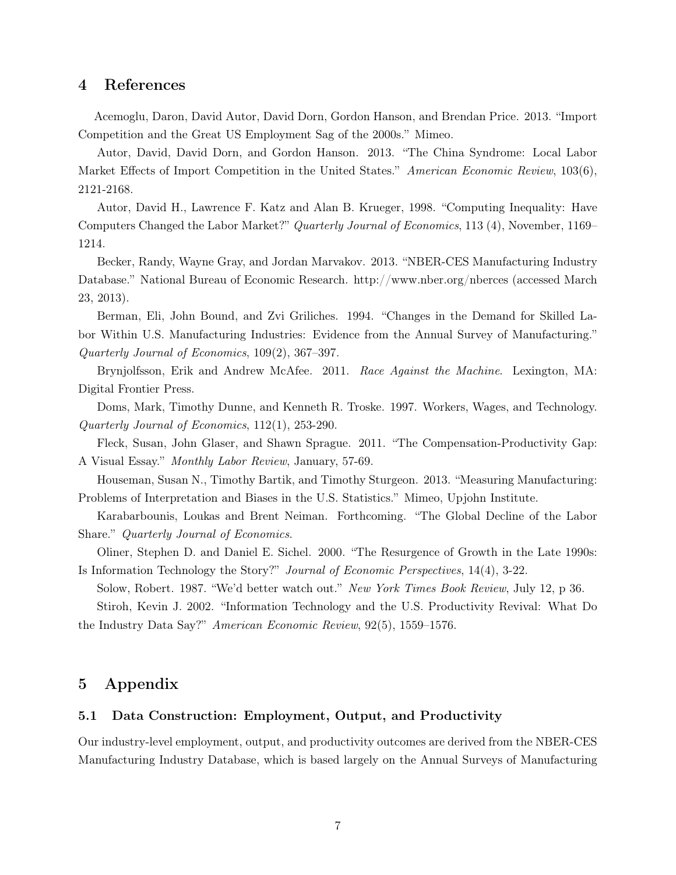#### 4 References

Acemoglu, Daron, David Autor, David Dorn, Gordon Hanson, and Brendan Price. 2013. "Import Competition and the Great US Employment Sag of the 2000s." Mimeo.

Autor, David, David Dorn, and Gordon Hanson. 2013. "The China Syndrome: Local Labor Market Effects of Import Competition in the United States." American Economic Review, 103(6), 2121-2168.

Autor, David H., Lawrence F. Katz and Alan B. Krueger, 1998. "Computing Inequality: Have Computers Changed the Labor Market?" Quarterly Journal of Economics, 113 (4), November, 1169– 1214.

Becker, Randy, Wayne Gray, and Jordan Marvakov. 2013. "NBER-CES Manufacturing Industry Database." National Bureau of Economic Research. http://www.nber.org/nberces (accessed March 23, 2013).

Berman, Eli, John Bound, and Zvi Griliches. 1994. "Changes in the Demand for Skilled Labor Within U.S. Manufacturing Industries: Evidence from the Annual Survey of Manufacturing." Quarterly Journal of Economics, 109(2), 367–397.

Brynjolfsson, Erik and Andrew McAfee. 2011. Race Against the Machine. Lexington, MA: Digital Frontier Press.

Doms, Mark, Timothy Dunne, and Kenneth R. Troske. 1997. Workers, Wages, and Technology. Quarterly Journal of Economics, 112(1), 253-290.

Fleck, Susan, John Glaser, and Shawn Sprague. 2011. "The Compensation-Productivity Gap: A Visual Essay." Monthly Labor Review, January, 57-69.

Houseman, Susan N., Timothy Bartik, and Timothy Sturgeon. 2013. "Measuring Manufacturing: Problems of Interpretation and Biases in the U.S. Statistics." Mimeo, Upjohn Institute.

Karabarbounis, Loukas and Brent Neiman. Forthcoming. "The Global Decline of the Labor Share." Quarterly Journal of Economics.

Oliner, Stephen D. and Daniel E. Sichel. 2000. "The Resurgence of Growth in the Late 1990s: Is Information Technology the Story?" Journal of Economic Perspectives, 14(4), 3-22.

Solow, Robert. 1987. "We'd better watch out." New York Times Book Review, July 12, p 36.

Stiroh, Kevin J. 2002. "Information Technology and the U.S. Productivity Revival: What Do the Industry Data Say?" American Economic Review, 92(5), 1559–1576.

### 5 Appendix

#### 5.1 Data Construction: Employment, Output, and Productivity

Our industry-level employment, output, and productivity outcomes are derived from the NBER-CES Manufacturing Industry Database, which is based largely on the Annual Surveys of Manufacturing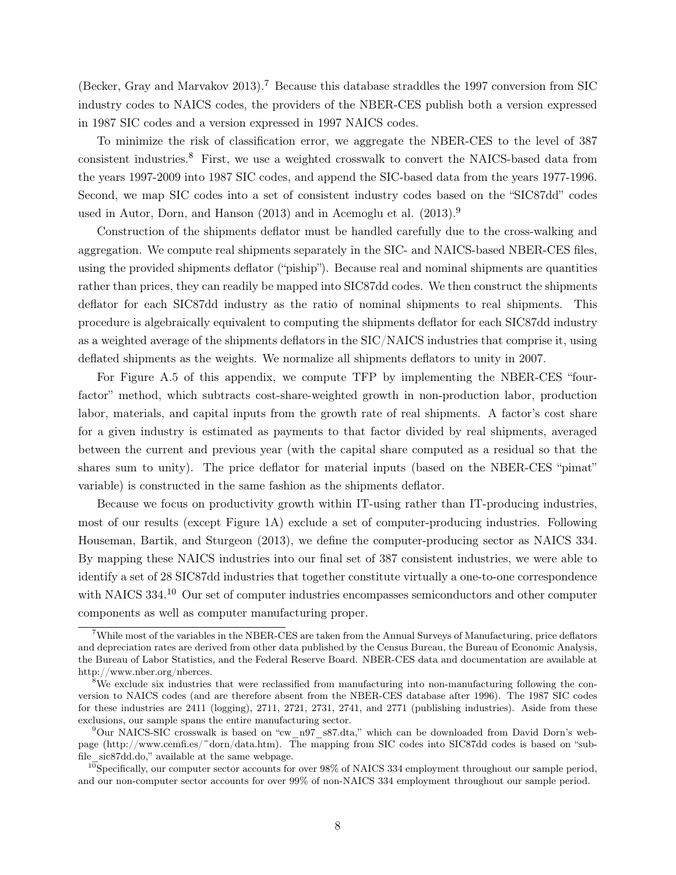(Becker, Gray and Marvakov 2013).<sup>7</sup> Because this database straddles the 1997 conversion from SIC industry codes to NAICS codes, the providers of the NBER-CES publish both a version expressed in 1987 SIC codes and a version expressed in 1997 NAICS codes.

To minimize the risk of classification error, we aggregate the NBER-CES to the level of 387 consistent industries.<sup>8</sup> First, we use a weighted crosswalk to convert the NAICS-based data from the years 1997-2009 into 1987 SIC codes, and append the SIC-based data from the years 1977-1996. Second, we map SIC codes into a set of consistent industry codes based on the "SIC87dd" codes used in Autor, Dorn, and Hanson  $(2013)$  and in Acemoglu et al.  $(2013).<sup>9</sup>$ 

Construction of the shipments deflator must be handled carefully due to the cross-walking and aggregation. We compute real shipments separately in the SIC- and NAICS-based NBER-CES files, using the provided shipments deflator ("piship"). Because real and nominal shipments are quantities rather than prices, they can readily be mapped into SIC87dd codes. We then construct the shipments deflator for each SIC87dd industry as the ratio of nominal shipments to real shipments. This procedure is algebraically equivalent to computing the shipments deflator for each SIC87dd industry as a weighted average of the shipments deflators in the SIC/NAICS industries that comprise it, using deflated shipments as the weights. We normalize all shipments deflators to unity in 2007.

For Figure A.5 of this appendix, we compute TFP by implementing the NBER-CES "fourfactor" method, which subtracts cost-share-weighted growth in non-production labor, production labor, materials, and capital inputs from the growth rate of real shipments. A factor's cost share for a given industry is estimated as payments to that factor divided by real shipments, averaged between the current and previous year (with the capital share computed as a residual so that the shares sum to unity). The price deflator for material inputs (based on the NBER-CES "pimat" variable) is constructed in the same fashion as the shipments deflator.

Because we focus on productivity growth within IT-using rather than IT-producing industries, most of our results (except Figure 1A) exclude a set of computer-producing industries. Following Houseman, Bartik, and Sturgeon (2013), we define the computer-producing sector as NAICS 334. By mapping these NAICS industries into our final set of 387 consistent industries, we were able to identify a set of 28 SIC87dd industries that together constitute virtually a one-to-one correspondence with NAICS 334.<sup>10</sup> Our set of computer industries encompasses semiconductors and other computer components as well as computer manufacturing proper.

<sup>7</sup>While most of the variables in the NBER-CES are taken from the Annual Surveys of Manufacturing, price deflators and depreciation rates are derived from other data published by the Census Bureau, the Bureau of Economic Analysis, the Bureau of Labor Statistics, and the Federal Reserve Board. NBER-CES data and documentation are available at http://www.nber.org/nberces.

<sup>&</sup>lt;sup>8</sup>We exclude six industries that were reclassified from manufacturing into non-manufacturing following the conversion to NAICS codes (and are therefore absent from the NBER-CES database after 1996). The 1987 SIC codes for these industries are 2411 (logging), 2711, 2721, 2731, 2741, and 2771 (publishing industries). Aside from these exclusions, our sample spans the entire manufacturing sector.

 $9$ Our NAICS-SIC crosswalk is based on "cw\_n97\_s87.dta," which can be downloaded from David Dorn's webpage (http://www.cemfi.es/~dorn/data.htm). The mapping from SIC codes into SIC87dd codes is based on "subfile\_sic87dd.do," available at the same webpage.

 $^{10}$ Specifically, our computer sector accounts for over 98% of NAICS 334 employment throughout our sample period, and our non-computer sector accounts for over 99% of non-NAICS 334 employment throughout our sample period.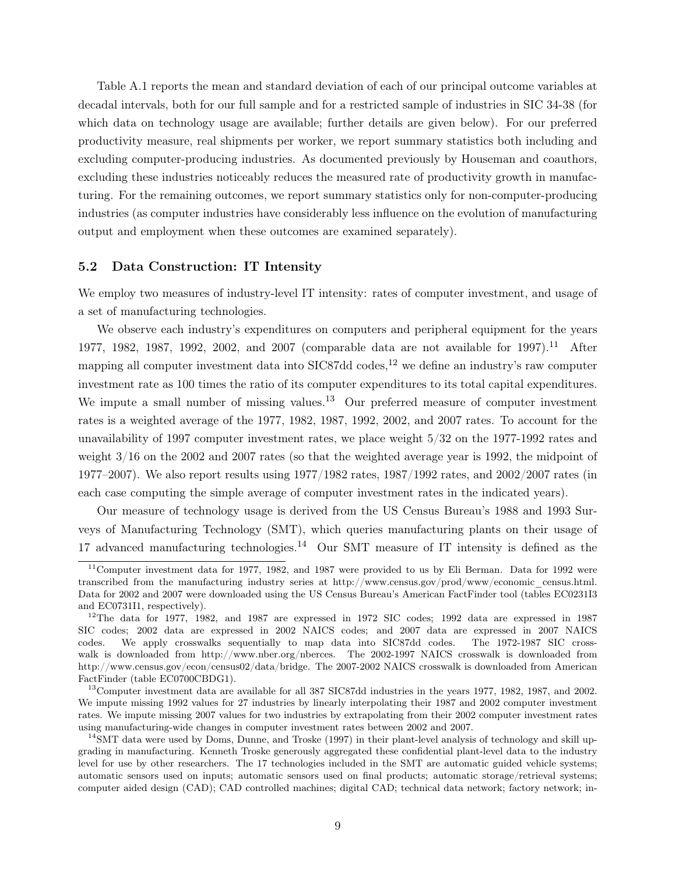Table A.1 reports the mean and standard deviation of each of our principal outcome variables at decadal intervals, both for our full sample and for a restricted sample of industries in SIC 34-38 (for which data on technology usage are available; further details are given below). For our preferred productivity measure, real shipments per worker, we report summary statistics both including and excluding computer-producing industries. As documented previously by Houseman and coauthors, excluding these industries noticeably reduces the measured rate of productivity growth in manufacturing. For the remaining outcomes, we report summary statistics only for non-computer-producing industries (as computer industries have considerably less influence on the evolution of manufacturing output and employment when these outcomes are examined separately).

#### 5.2 Data Construction: IT Intensity

We employ two measures of industry-level IT intensity: rates of computer investment, and usage of a set of manufacturing technologies.

We observe each industry's expenditures on computers and peripheral equipment for the years 1977, 1982, 1987, 1992, 2002, and 2007 (comparable data are not available for 1997).<sup>11</sup> After mapping all computer investment data into  $SIC87dd$  codes,<sup>12</sup> we define an industry's raw computer investment rate as 100 times the ratio of its computer expenditures to its total capital expenditures. We impute a small number of missing values.<sup>13</sup> Our preferred measure of computer investment rates is a weighted average of the 1977, 1982, 1987, 1992, 2002, and 2007 rates. To account for the unavailability of 1997 computer investment rates, we place weight 5/32 on the 1977-1992 rates and weight 3/16 on the 2002 and 2007 rates (so that the weighted average year is 1992, the midpoint of 1977–2007). We also report results using 1977/1982 rates, 1987/1992 rates, and 2002/2007 rates (in each case computing the simple average of computer investment rates in the indicated years).

Our measure of technology usage is derived from the US Census Bureau's 1988 and 1993 Surveys of Manufacturing Technology (SMT), which queries manufacturing plants on their usage of 17 advanced manufacturing technologies.<sup>14</sup> Our SMT measure of IT intensity is defined as the

<sup>&</sup>lt;sup>11</sup>Computer investment data for 1977, 1982, and 1987 were provided to us by Eli Berman. Data for 1992 were transcribed from the manufacturing industry series at http://www.census.gov/prod/www/economic\_census.html. Data for 2002 and 2007 were downloaded using the US Census Bureau's American FactFinder tool (tables EC0231I3 and EC0731I1, respectively).

<sup>&</sup>lt;sup>12</sup>The data for 1977, 1982, and 1987 are expressed in 1972 SIC codes; 1992 data are expressed in 1987 SIC codes; 2002 data are expressed in 2002 NAICS codes; and 2007 data are expressed in 2007 NAICS codes. We apply crosswalks sequentially to map data into SIC87dd codes. The 1972-1987 SIC crosswalk is downloaded from http://www.nber.org/nberces. The 2002-1997 NAICS crosswalk is downloaded from http://www.census.gov/econ/census02/data/bridge. The 2007-2002 NAICS crosswalk is downloaded from American FactFinder (table EC0700CBDG1).

<sup>13</sup>Computer investment data are available for all 387 SIC87dd industries in the years 1977, 1982, 1987, and 2002. We impute missing 1992 values for 27 industries by linearly interpolating their 1987 and 2002 computer investment rates. We impute missing 2007 values for two industries by extrapolating from their 2002 computer investment rates using manufacturing-wide changes in computer investment rates between 2002 and 2007.

 $14$ SMT data were used by Doms, Dunne, and Troske (1997) in their plant-level analysis of technology and skill upgrading in manufacturing. Kenneth Troske generously aggregated these confidential plant-level data to the industry level for use by other researchers. The 17 technologies included in the SMT are automatic guided vehicle systems; automatic sensors used on inputs; automatic sensors used on final products; automatic storage/retrieval systems; computer aided design (CAD); CAD controlled machines; digital CAD; technical data network; factory network; in-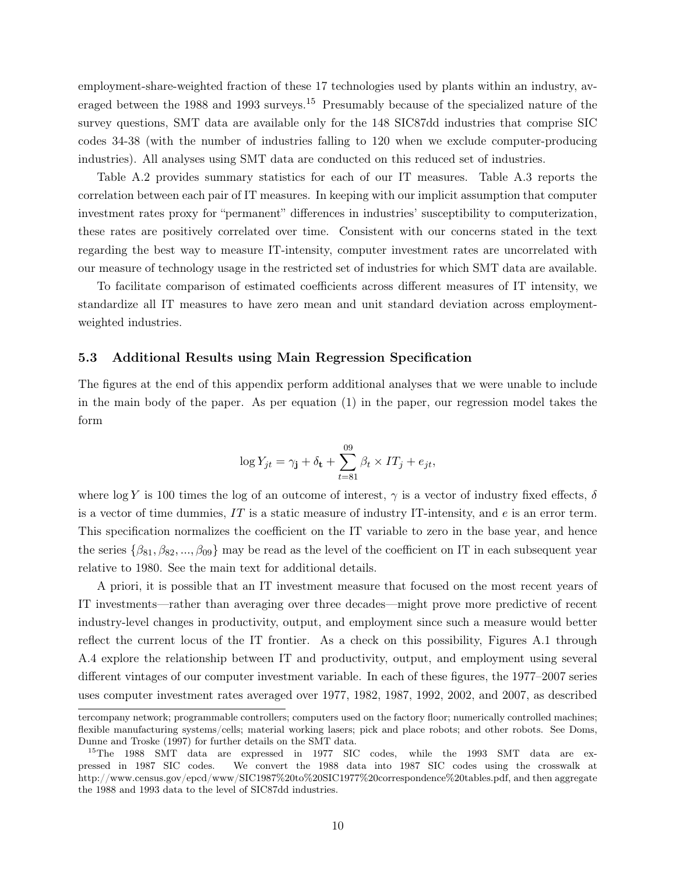employment-share-weighted fraction of these 17 technologies used by plants within an industry, averaged between the 1988 and 1993 surveys.<sup>15</sup> Presumably because of the specialized nature of the survey questions, SMT data are available only for the 148 SIC87dd industries that comprise SIC codes 34-38 (with the number of industries falling to 120 when we exclude computer-producing industries). All analyses using SMT data are conducted on this reduced set of industries.

Table A.2 provides summary statistics for each of our IT measures. Table A.3 reports the correlation between each pair of IT measures. In keeping with our implicit assumption that computer investment rates proxy for "permanent" differences in industries' susceptibility to computerization, these rates are positively correlated over time. Consistent with our concerns stated in the text regarding the best way to measure IT-intensity, computer investment rates are uncorrelated with our measure of technology usage in the restricted set of industries for which SMT data are available.

To facilitate comparison of estimated coefficients across different measures of IT intensity, we standardize all IT measures to have zero mean and unit standard deviation across employmentweighted industries.

#### 5.3 Additional Results using Main Regression Specification

The figures at the end of this appendix perform additional analyses that we were unable to include in the main body of the paper. As per equation (1) in the paper, our regression model takes the form

$$
\log Y_{jt} = \gamma_{\mathbf{j}} + \delta_{\mathbf{t}} + \sum_{t=81}^{09} \beta_t \times IT_j + e_{jt},
$$

where log Y is 100 times the log of an outcome of interest,  $\gamma$  is a vector of industry fixed effects,  $\delta$ is a vector of time dummies,  $IT$  is a static measure of industry IT-intensity, and  $e$  is an error term. This specification normalizes the coefficient on the IT variable to zero in the base year, and hence the series  $\{\beta_{81}, \beta_{82}, ..., \beta_{09}\}\$  may be read as the level of the coefficient on IT in each subsequent year relative to 1980. See the main text for additional details.

A priori, it is possible that an IT investment measure that focused on the most recent years of IT investments—rather than averaging over three decades—might prove more predictive of recent industry-level changes in productivity, output, and employment since such a measure would better reflect the current locus of the IT frontier. As a check on this possibility, Figures A.1 through A.4 explore the relationship between IT and productivity, output, and employment using several different vintages of our computer investment variable. In each of these figures, the 1977–2007 series uses computer investment rates averaged over 1977, 1982, 1987, 1992, 2002, and 2007, as described

tercompany network; programmable controllers; computers used on the factory floor; numerically controlled machines; flexible manufacturing systems/cells; material working lasers; pick and place robots; and other robots. See Doms, Dunne and Troske (1997) for further details on the SMT data.

<sup>&</sup>lt;sup>15</sup>The 1988 SMT data are expressed in 1977 SIC codes, while the 1993 SMT data are expressed in 1987 SIC codes. We convert the 1988 data into 1987 SIC codes using the crosswalk at http://www.census.gov/epcd/www/SIC1987%20to%20SIC1977%20correspondence%20tables.pdf, and then aggregate the 1988 and 1993 data to the level of SIC87dd industries.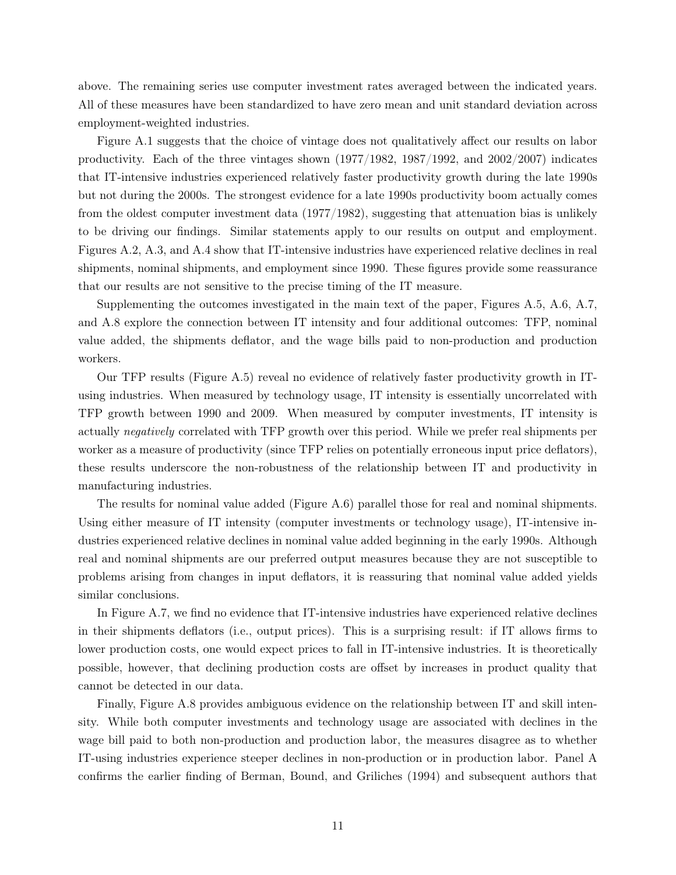above. The remaining series use computer investment rates averaged between the indicated years. All of these measures have been standardized to have zero mean and unit standard deviation across employment-weighted industries.

Figure A.1 suggests that the choice of vintage does not qualitatively affect our results on labor productivity. Each of the three vintages shown  $(1977/1982, 1987/1992,$  and  $2002/2007)$  indicates that IT-intensive industries experienced relatively faster productivity growth during the late 1990s but not during the 2000s. The strongest evidence for a late 1990s productivity boom actually comes from the oldest computer investment data (1977/1982), suggesting that attenuation bias is unlikely to be driving our findings. Similar statements apply to our results on output and employment. Figures A.2, A.3, and A.4 show that IT-intensive industries have experienced relative declines in real shipments, nominal shipments, and employment since 1990. These figures provide some reassurance that our results are not sensitive to the precise timing of the IT measure.

Supplementing the outcomes investigated in the main text of the paper, Figures A.5, A.6, A.7, and A.8 explore the connection between IT intensity and four additional outcomes: TFP, nominal value added, the shipments deflator, and the wage bills paid to non-production and production workers.

Our TFP results (Figure A.5) reveal no evidence of relatively faster productivity growth in ITusing industries. When measured by technology usage, IT intensity is essentially uncorrelated with TFP growth between 1990 and 2009. When measured by computer investments, IT intensity is actually negatively correlated with TFP growth over this period. While we prefer real shipments per worker as a measure of productivity (since TFP relies on potentially erroneous input price deflators), these results underscore the non-robustness of the relationship between IT and productivity in manufacturing industries.

The results for nominal value added (Figure A.6) parallel those for real and nominal shipments. Using either measure of IT intensity (computer investments or technology usage), IT-intensive industries experienced relative declines in nominal value added beginning in the early 1990s. Although real and nominal shipments are our preferred output measures because they are not susceptible to problems arising from changes in input deflators, it is reassuring that nominal value added yields similar conclusions.

In Figure A.7, we find no evidence that IT-intensive industries have experienced relative declines in their shipments deflators (i.e., output prices). This is a surprising result: if IT allows firms to lower production costs, one would expect prices to fall in IT-intensive industries. It is theoretically possible, however, that declining production costs are offset by increases in product quality that cannot be detected in our data.

Finally, Figure A.8 provides ambiguous evidence on the relationship between IT and skill intensity. While both computer investments and technology usage are associated with declines in the wage bill paid to both non-production and production labor, the measures disagree as to whether IT-using industries experience steeper declines in non-production or in production labor. Panel A confirms the earlier finding of Berman, Bound, and Griliches (1994) and subsequent authors that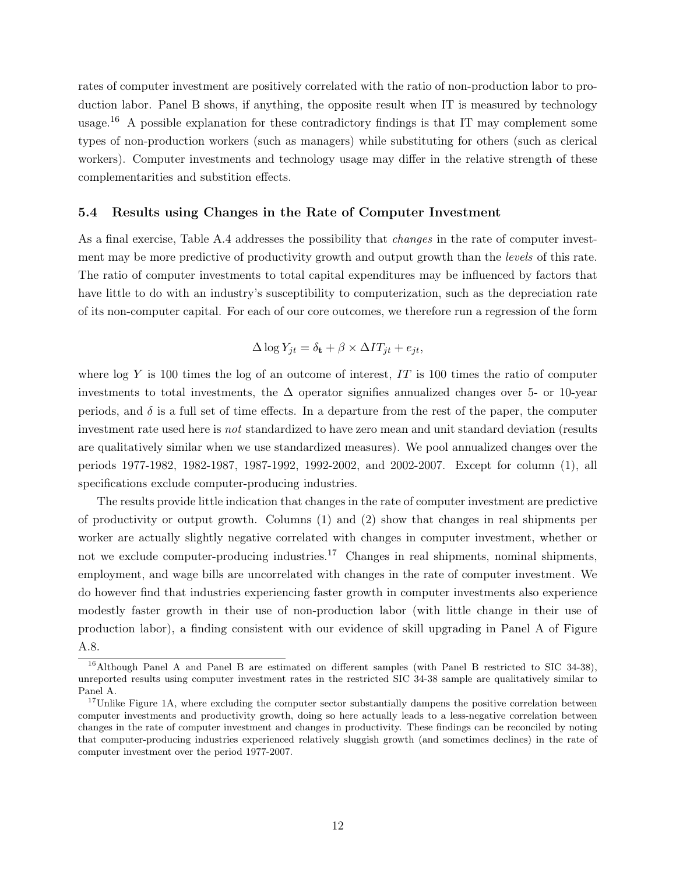rates of computer investment are positively correlated with the ratio of non-production labor to production labor. Panel B shows, if anything, the opposite result when IT is measured by technology usage.<sup>16</sup> A possible explanation for these contradictory findings is that IT may complement some types of non-production workers (such as managers) while substituting for others (such as clerical workers). Computer investments and technology usage may differ in the relative strength of these complementarities and substition effects.

#### 5.4 Results using Changes in the Rate of Computer Investment

As a final exercise, Table A.4 addresses the possibility that changes in the rate of computer investment may be more predictive of productivity growth and output growth than the *levels* of this rate. The ratio of computer investments to total capital expenditures may be influenced by factors that have little to do with an industry's susceptibility to computerization, such as the depreciation rate of its non-computer capital. For each of our core outcomes, we therefore run a regression of the form

$$
\Delta \log Y_{jt} = \delta_{\mathbf{t}} + \beta \times \Delta T T_{jt} + e_{jt},
$$

where  $\log Y$  is 100 times the log of an outcome of interest, IT is 100 times the ratio of computer investments to total investments, the  $\Delta$  operator signifies annualized changes over 5- or 10-year periods, and  $\delta$  is a full set of time effects. In a departure from the rest of the paper, the computer investment rate used here is not standardized to have zero mean and unit standard deviation (results are qualitatively similar when we use standardized measures). We pool annualized changes over the periods 1977-1982, 1982-1987, 1987-1992, 1992-2002, and 2002-2007. Except for column (1), all specifications exclude computer-producing industries.

The results provide little indication that changes in the rate of computer investment are predictive of productivity or output growth. Columns (1) and (2) show that changes in real shipments per worker are actually slightly negative correlated with changes in computer investment, whether or not we exclude computer-producing industries.<sup>17</sup> Changes in real shipments, nominal shipments, employment, and wage bills are uncorrelated with changes in the rate of computer investment. We do however find that industries experiencing faster growth in computer investments also experience modestly faster growth in their use of non-production labor (with little change in their use of production labor), a finding consistent with our evidence of skill upgrading in Panel A of Figure A.8.

<sup>&</sup>lt;sup>16</sup>Although Panel A and Panel B are estimated on different samples (with Panel B restricted to SIC 34-38), unreported results using computer investment rates in the restricted SIC 34-38 sample are qualitatively similar to Panel A.

<sup>&</sup>lt;sup>17</sup>Unlike Figure 1A, where excluding the computer sector substantially dampens the positive correlation between computer investments and productivity growth, doing so here actually leads to a less-negative correlation between changes in the rate of computer investment and changes in productivity. These findings can be reconciled by noting that computer-producing industries experienced relatively sluggish growth (and sometimes declines) in the rate of computer investment over the period 1977-2007.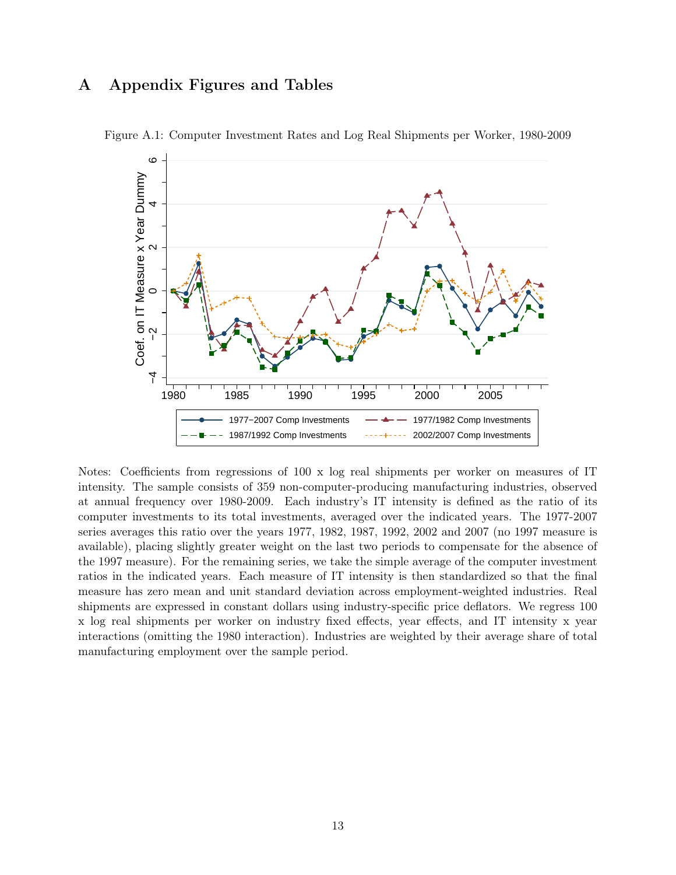## A Appendix Figures and Tables



Figure A.1: Computer Investment Rates and Log Real Shipments per Worker, 1980-2009

Notes: Coefficients from regressions of 100 x log real shipments per worker on measures of IT intensity. The sample consists of 359 non-computer-producing manufacturing industries, observed at annual frequency over 1980-2009. Each industry's IT intensity is defined as the ratio of its computer investments to its total investments, averaged over the indicated years. The 1977-2007 series averages this ratio over the years 1977, 1982, 1987, 1992, 2002 and 2007 (no 1997 measure is available), placing slightly greater weight on the last two periods to compensate for the absence of the 1997 measure). For the remaining series, we take the simple average of the computer investment ratios in the indicated years. Each measure of IT intensity is then standardized so that the final measure has zero mean and unit standard deviation across employment-weighted industries. Real shipments are expressed in constant dollars using industry-specific price deflators. We regress 100 x log real shipments per worker on industry fixed effects, year effects, and IT intensity x year interactions (omitting the 1980 interaction). Industries are weighted by their average share of total manufacturing employment over the sample period.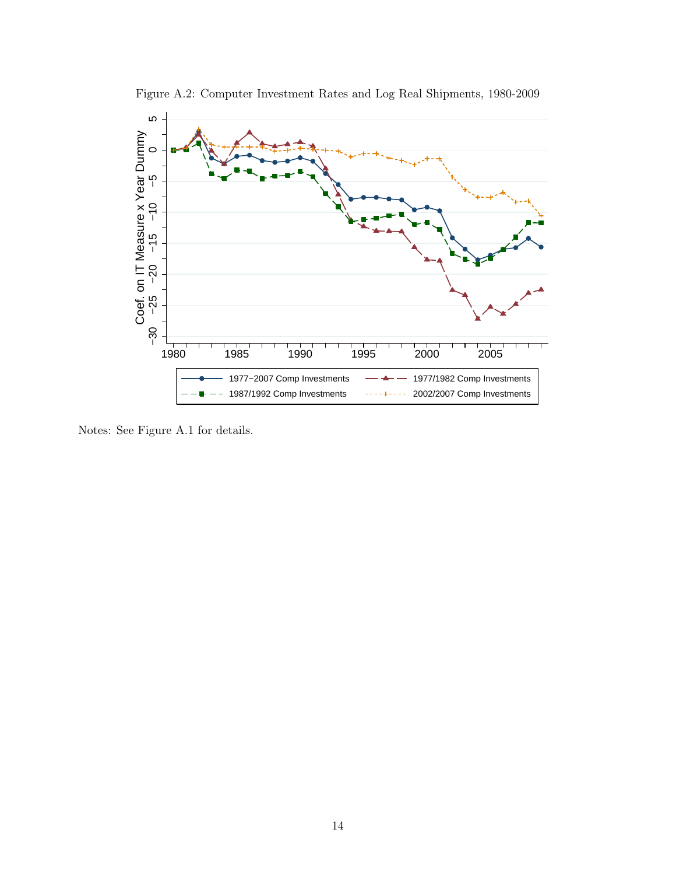

Figure A.2: Computer Investment Rates and Log Real Shipments, 1980-2009

Notes: See Figure A.1 for details.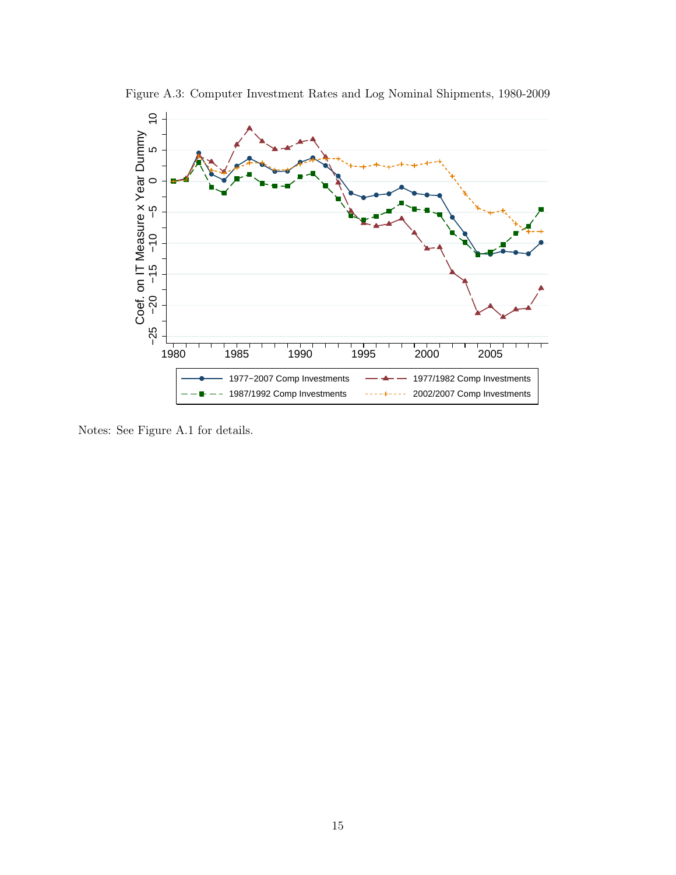

Figure A.3: Computer Investment Rates and Log Nominal Shipments, 1980-2009

Notes: See Figure A.1 for details.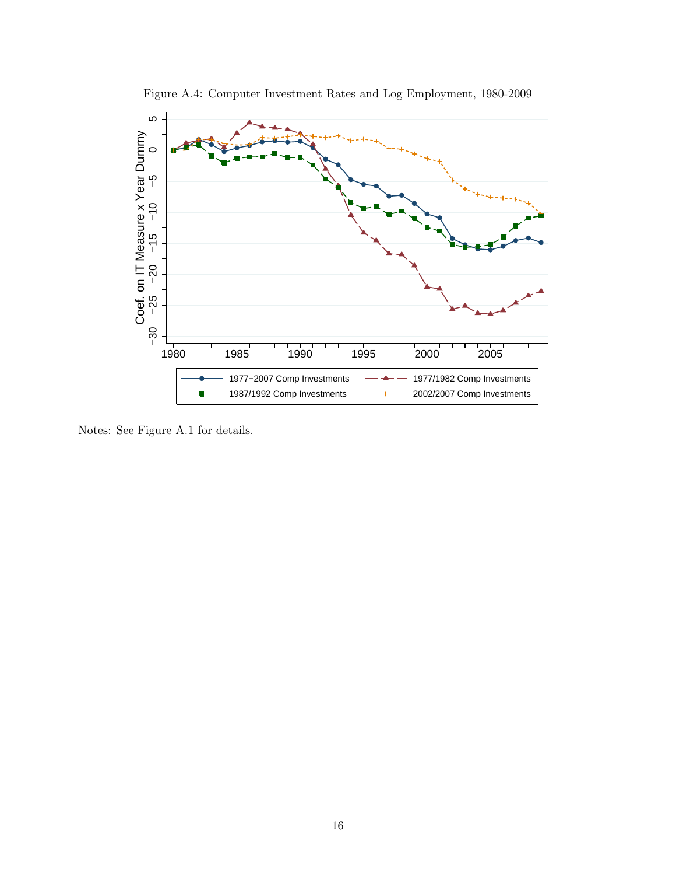

Figure A.4: Computer Investment Rates and Log Employment, 1980-2009

Notes: See Figure A.1 for details.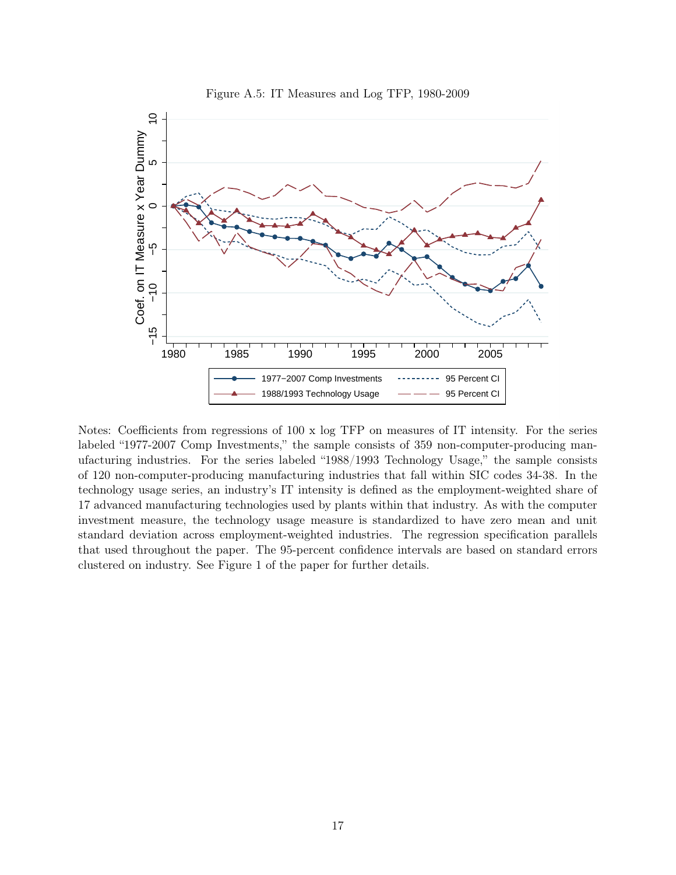

Figure A.5: IT Measures and Log TFP, 1980-2009

Notes: Coefficients from regressions of 100 x log TFP on measures of IT intensity. For the series labeled "1977-2007 Comp Investments," the sample consists of 359 non-computer-producing manufacturing industries. For the series labeled "1988/1993 Technology Usage," the sample consists of 120 non-computer-producing manufacturing industries that fall within SIC codes 34-38. In the technology usage series, an industry's IT intensity is defined as the employment-weighted share of 17 advanced manufacturing technologies used by plants within that industry. As with the computer investment measure, the technology usage measure is standardized to have zero mean and unit standard deviation across employment-weighted industries. The regression specification parallels that used throughout the paper. The 95-percent confidence intervals are based on standard errors clustered on industry. See Figure 1 of the paper for further details.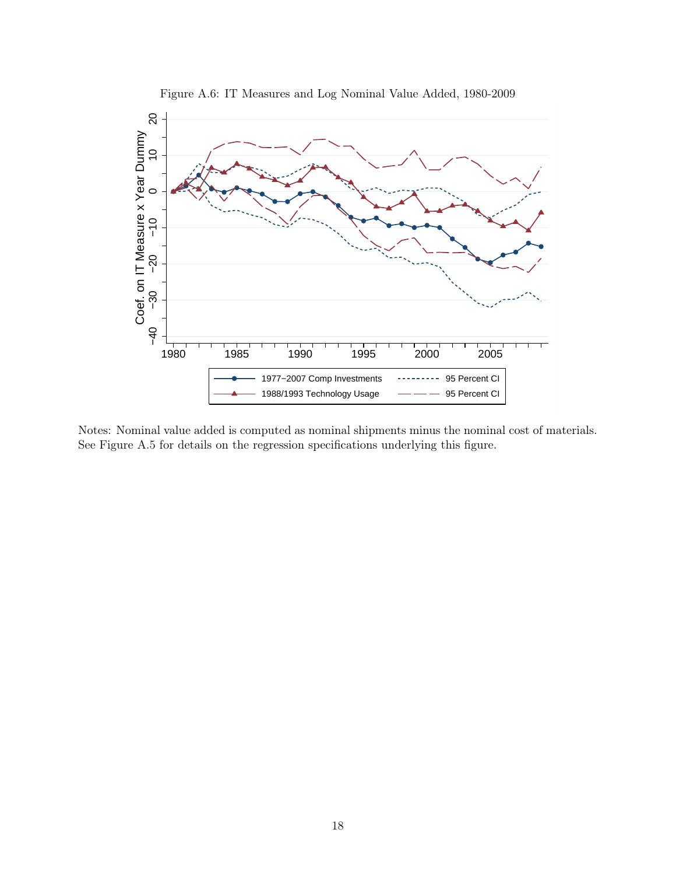

Figure A.6: IT Measures and Log Nominal Value Added, 1980-2009

Notes: Nominal value added is computed as nominal shipments minus the nominal cost of materials. See Figure A.5 for details on the regression specifications underlying this figure.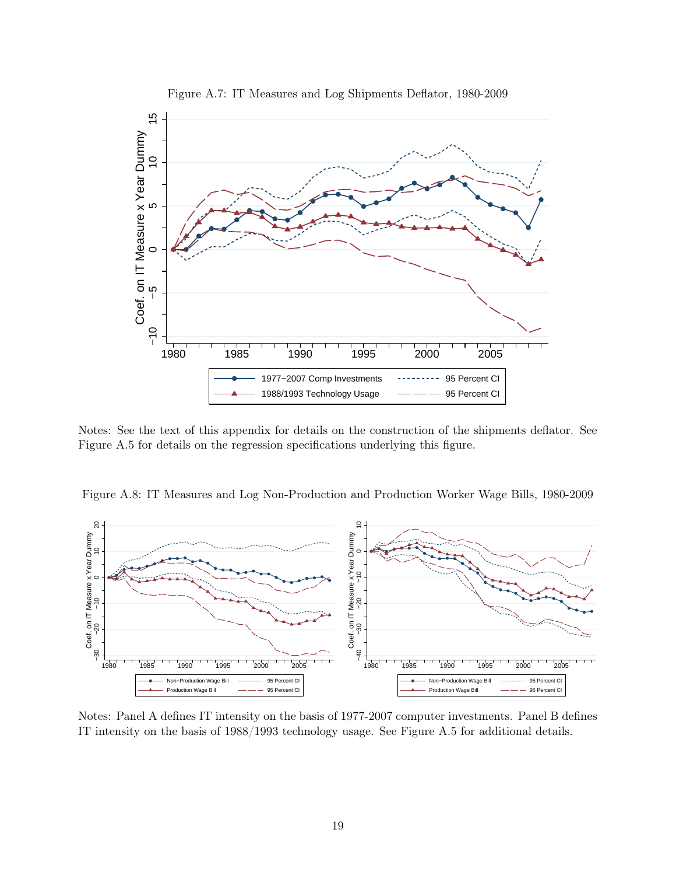

Figure A.7: IT Measures and Log Shipments Deflator, 1980-2009

Notes: See the text of this appendix for details on the construction of the shipments deflator. See Figure A.5 for details on the regression specifications underlying this figure.





Notes: Panel A defines IT intensity on the basis of 1977-2007 computer investments. Panel B defines IT intensity on the basis of 1988/1993 technology usage. See Figure A.5 for additional details.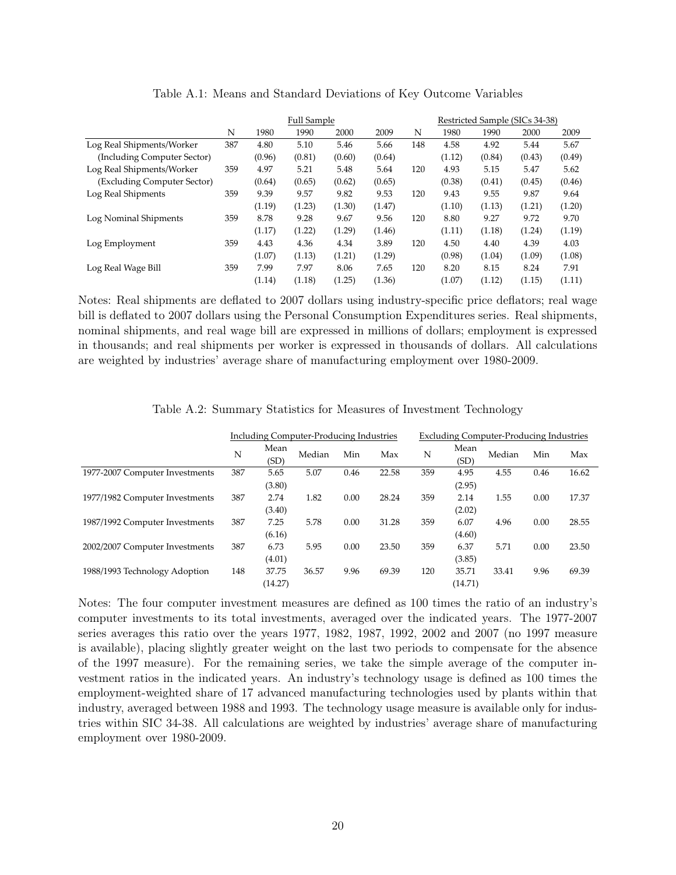|                             |     | <b>Full Sample</b> |        |        |        |     | Restricted Sample (SICs 34-38) |        |        |        |
|-----------------------------|-----|--------------------|--------|--------|--------|-----|--------------------------------|--------|--------|--------|
|                             | N   | 1980               | 1990   | 2000   | 2009   | N   | 1980                           | 1990   | 2000   | 2009   |
| Log Real Shipments/Worker   | 387 | 4.80               | 5.10   | 5.46   | 5.66   | 148 | 4.58                           | 4.92   | 5.44   | 5.67   |
| (Including Computer Sector) |     | (0.96)             | (0.81) | (0.60) | (0.64) |     | (1.12)                         | (0.84) | (0.43) | (0.49) |
| Log Real Shipments/Worker   | 359 | 4.97               | 5.21   | 5.48   | 5.64   | 120 | 4.93                           | 5.15   | 5.47   | 5.62   |
| (Excluding Computer Sector) |     | (0.64)             | (0.65) | (0.62) | (0.65) |     | (0.38)                         | (0.41) | (0.45) | (0.46) |
| Log Real Shipments          | 359 | 9.39               | 9.57   | 9.82   | 9.53   | 120 | 9.43                           | 9.55   | 9.87   | 9.64   |
|                             |     | (1.19)             | (1.23) | (1.30) | (1.47) |     | (1.10)                         | (1.13) | (1.21) | (1.20) |
| Log Nominal Shipments       | 359 | 8.78               | 9.28   | 9.67   | 9.56   | 120 | 8.80                           | 9.27   | 9.72   | 9.70   |
|                             |     | (1.17)             | (1.22) | (1.29) | (1.46) |     | (1.11)                         | (1.18) | (1.24) | (1.19) |
| Log Employment              | 359 | 4.43               | 4.36   | 4.34   | 3.89   | 120 | 4.50                           | 4.40   | 4.39   | 4.03   |
|                             |     | (1.07)             | (1.13) | (1.21) | (1.29) |     | (0.98)                         | (1.04) | (1.09) | (1.08) |
| Log Real Wage Bill          | 359 | 7.99               | 7.97   | 8.06   | 7.65   | 120 | 8.20                           | 8.15   | 8.24   | 7.91   |
|                             |     | (1.14)             | (1.18) | (1.25) | (1.36) |     | (1.07)                         | (1.12) | (1.15) | (1.11) |

| Table A.1: Means and Standard Deviations of Key Outcome Variables |  |
|-------------------------------------------------------------------|--|
|-------------------------------------------------------------------|--|

Notes: Real shipments are deflated to 2007 dollars using industry-specific price deflators; real wage bill is deflated to 2007 dollars using the Personal Consumption Expenditures series. Real shipments, nominal shipments, and real wage bill are expressed in millions of dollars; employment is expressed in thousands; and real shipments per worker is expressed in thousands of dollars. All calculations are weighted by industries' average share of manufacturing employment over 1980-2009.

|                                | Including Computer-Producing Industries |              |        |      | <b>Excluding Computer-Producing Industries</b> |     |              |        |      |       |
|--------------------------------|-----------------------------------------|--------------|--------|------|------------------------------------------------|-----|--------------|--------|------|-------|
|                                | N                                       | Mean<br>(SD) | Median | Min  | Max                                            | N   | Mean<br>(SD) | Median | Min  | Max   |
| 1977-2007 Computer Investments | 387                                     | 5.65         | 5.07   | 0.46 | 22.58                                          | 359 | 4.95         | 4.55   | 0.46 | 16.62 |
|                                |                                         | (3.80)       |        |      |                                                |     | (2.95)       |        |      |       |
| 1977/1982 Computer Investments | 387                                     | 2.74         | 1.82   | 0.00 | 28.24                                          | 359 | 2.14         | 1.55   | 0.00 | 17.37 |
|                                |                                         | (3.40)       |        |      |                                                |     | (2.02)       |        |      |       |
| 1987/1992 Computer Investments | 387                                     | 7.25         | 5.78   | 0.00 | 31.28                                          | 359 | 6.07         | 4.96   | 0.00 | 28.55 |
|                                |                                         | (6.16)       |        |      |                                                |     | (4.60)       |        |      |       |
| 2002/2007 Computer Investments | 387                                     | 6.73         | 5.95   | 0.00 | 23.50                                          | 359 | 6.37         | 5.71   | 0.00 | 23.50 |
|                                |                                         | (4.01)       |        |      |                                                |     | (3.85)       |        |      |       |
| 1988/1993 Technology Adoption  | 148                                     | 37.75        | 36.57  | 9.96 | 69.39                                          | 120 | 35.71        | 33.41  | 9.96 | 69.39 |
|                                |                                         | (14.27)      |        |      |                                                |     | (14.71)      |        |      |       |

Table A.2: Summary Statistics for Measures of Investment Technology

Notes: The four computer investment measures are defined as 100 times the ratio of an industry's computer investments to its total investments, averaged over the indicated years. The 1977-2007 series averages this ratio over the years 1977, 1982, 1987, 1992, 2002 and 2007 (no 1997 measure is available), placing slightly greater weight on the last two periods to compensate for the absence of the 1997 measure). For the remaining series, we take the simple average of the computer investment ratios in the indicated years. An industry's technology usage is defined as 100 times the employment-weighted share of 17 advanced manufacturing technologies used by plants within that industry, averaged between 1988 and 1993. The technology usage measure is available only for industries within SIC 34-38. All calculations are weighted by industries' average share of manufacturing employment over 1980-2009.